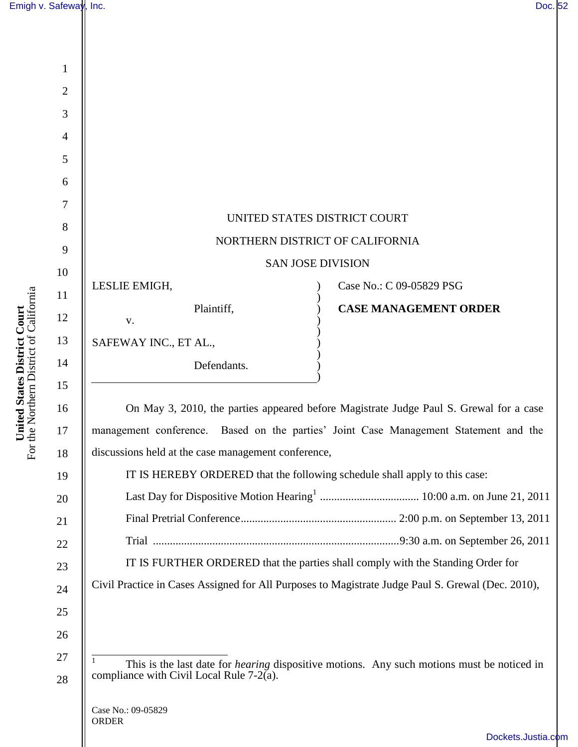|                                                                      | Emigh v. Safeway, Inc. | Doc. 52                                                                                           |
|----------------------------------------------------------------------|------------------------|---------------------------------------------------------------------------------------------------|
|                                                                      |                        |                                                                                                   |
| <b>ited States District Court</b><br>Northern District of California |                        |                                                                                                   |
|                                                                      | $\mathbf{1}$           |                                                                                                   |
|                                                                      | $\overline{2}$         |                                                                                                   |
|                                                                      | $\mathfrak{Z}$         |                                                                                                   |
|                                                                      | $\overline{4}$         |                                                                                                   |
|                                                                      | 5                      |                                                                                                   |
|                                                                      | 6                      |                                                                                                   |
|                                                                      | 7                      | UNITED STATES DISTRICT COURT                                                                      |
|                                                                      | $8\,$<br>9             | NORTHERN DISTRICT OF CALIFORNIA                                                                   |
|                                                                      | 10                     | <b>SAN JOSE DIVISION</b>                                                                          |
|                                                                      | 11                     | LESLIE EMIGH,<br>Case No.: C 09-05829 PSG                                                         |
|                                                                      | 12                     | Plaintiff,<br><b>CASE MANAGEMENT ORDER</b>                                                        |
|                                                                      | 13                     | V.                                                                                                |
|                                                                      | 14                     | SAFEWAY INC., ET AL.,<br>Defendants.                                                              |
|                                                                      | 15                     |                                                                                                   |
|                                                                      | 16                     | On May 3, 2010, the parties appeared before Magistrate Judge Paul S. Grewal for a case            |
|                                                                      | $17\,$                 | management conference. Based on the parties' Joint Case Management Statement and the              |
| Uni<br>For the                                                       | 18                     | discussions held at the case management conference,                                               |
|                                                                      | 19                     | IT IS HEREBY ORDERED that the following schedule shall apply to this case:                        |
|                                                                      | 20                     |                                                                                                   |
|                                                                      | 21                     |                                                                                                   |
|                                                                      | 22                     |                                                                                                   |
|                                                                      | 23                     | IT IS FURTHER ORDERED that the parties shall comply with the Standing Order for                   |
|                                                                      | 24                     | Civil Practice in Cases Assigned for All Purposes to Magistrate Judge Paul S. Grewal (Dec. 2010), |
|                                                                      | 25                     |                                                                                                   |
|                                                                      | 26                     |                                                                                                   |

27

28

 $\overline{1}$ <sup>1</sup> This is the last date for *hearing* dispositive motions. Any such motions must be noticed in compliance with Civil Local Rule  $7-2(a)$ .